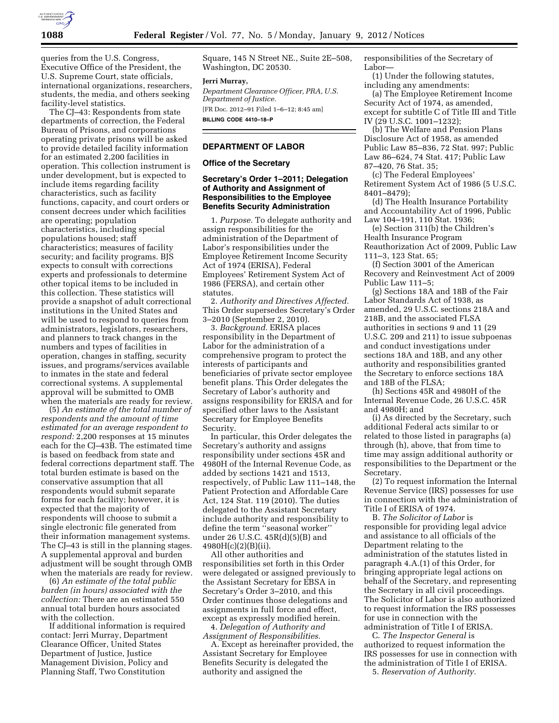

queries from the U.S. Congress, Executive Office of the President, the U.S. Supreme Court, state officials, international organizations, researchers, students, the media, and others seeking facility-level statistics.

The CJ–43: Respondents from state departments of correction, the Federal Bureau of Prisons, and corporations operating private prisons will be asked to provide detailed facility information for an estimated 2,200 facilities in operation. This collection instrument is under development, but is expected to include items regarding facility characteristics, such as facility functions, capacity, and court orders or consent decrees under which facilities are operating; population characteristics, including special populations housed; staff characteristics; measures of facility security; and facility programs. BJS expects to consult with corrections experts and professionals to determine other topical items to be included in this collection. These statistics will provide a snapshot of adult correctional institutions in the United States and will be used to respond to queries from administrators, legislators, researchers, and planners to track changes in the numbers and types of facilities in operation, changes in staffing, security issues, and programs/services available to inmates in the state and federal correctional systems. A supplemental approval will be submitted to OMB when the materials are ready for review.

(5) *An estimate of the total number of respondents and the amount of time estimated for an average respondent to respond:* 2,200 responses at 15 minutes each for the CJ–43B. The estimated time is based on feedback from state and federal corrections department staff. The total burden estimate is based on the conservative assumption that all respondents would submit separate forms for each facility; however, it is expected that the majority of respondents will choose to submit a single electronic file generated from their information management systems. The CJ–43 is still in the planning stages. A supplemental approval and burden adjustment will be sought through OMB when the materials are ready for review.

(6) *An estimate of the total public burden (in hours) associated with the collection:* There are an estimated 550 annual total burden hours associated with the collection.

If additional information is required contact: Jerri Murray, Department Clearance Officer, United States Department of Justice, Justice Management Division, Policy and Planning Staff, Two Constitution

Square, 145 N Street NE., Suite 2E–508, Washington, DC 20530.

### **Jerri Murray,**

*Department Clearance Officer, PRA, U.S. Department of Justice.*  [FR Doc. 2012–91 Filed 1–6–12; 8:45 am] **BILLING CODE 4410–18–P** 

# **DEPARTMENT OF LABOR**

#### **Office of the Secretary**

# **Secretary's Order 1–2011; Delegation of Authority and Assignment of Responsibilities to the Employee Benefits Security Administration**

1. *Purpose.* To delegate authority and assign responsibilities for the administration of the Department of Labor's responsibilities under the Employee Retirement Income Security Act of 1974 (ERISA), Federal Employees' Retirement System Act of 1986 (FERSA), and certain other statutes.

2. *Authority and Directives Affected.*  This Order supersedes Secretary's Order 3–2010 (September 2, 2010).

3. *Background.* ERISA places responsibility in the Department of Labor for the administration of a comprehensive program to protect the interests of participants and beneficiaries of private sector employee benefit plans. This Order delegates the Secretary of Labor's authority and assigns responsibility for ERISA and for specified other laws to the Assistant Secretary for Employee Benefits Security.

In particular, this Order delegates the Secretary's authority and assigns responsibility under sections 45R and 4980H of the Internal Revenue Code, as added by sections 1421 and 1513, respectively, of Public Law 111–148, the Patient Protection and Affordable Care Act, 124 Stat. 119 (2010). The duties delegated to the Assistant Secretary include authority and responsibility to define the term ''seasonal worker'' under 26 U.S.C. 45R(d)(5)(B) and 4980H(c)(2)(B)(ii).

All other authorities and responsibilities set forth in this Order were delegated or assigned previously to the Assistant Secretary for EBSA in Secretary's Order 3–2010, and this Order continues those delegations and assignments in full force and effect, except as expressly modified herein.

4. *Delegation of Authority and Assignment of Responsibilities.* 

A. Except as hereinafter provided, the Assistant Secretary for Employee Benefits Security is delegated the authority and assigned the

responsibilities of the Secretary of Labor—

(1) Under the following statutes, including any amendments:

(a) The Employee Retirement Income Security Act of 1974, as amended, except for subtitle C of Title III and Title IV (29 U.S.C. 1001–1232);

(b) The Welfare and Pension Plans Disclosure Act of 1958, as amended Public Law 85–836, 72 Stat. 997; Public Law 86–624, 74 Stat. 417; Public Law 87–420, 76 Stat. 35;

(c) The Federal Employees' Retirement System Act of 1986 (5 U.S.C. 8401–8479);

(d) The Health Insurance Portability and Accountability Act of 1996, Public Law 104–191, 110 Stat. 1936;

(e) Section 311(b) the Children's Health Insurance Program Reauthorization Act of 2009, Public Law 111–3, 123 Stat. 65;

(f) Section 3001 of the American Recovery and Reinvestment Act of 2009 Public Law 111–5;

(g) Sections 18A and 18B of the Fair Labor Standards Act of 1938, as amended, 29 U.S.C. sections 218A and 218B, and the associated FLSA authorities in sections 9 and 11 (29 U.S.C. 209 and 211) to issue subpoenas and conduct investigations under sections 18A and 18B, and any other authority and responsibilities granted the Secretary to enforce sections 18A and 18B of the FLSA;

(h) Sections 45R and 4980H of the Internal Revenue Code, 26 U.S.C. 45R and 4980H; and

(i) As directed by the Secretary, such additional Federal acts similar to or related to those listed in paragraphs (a) through (h), above, that from time to time may assign additional authority or responsibilities to the Department or the Secretary.

(2) To request information the Internal Revenue Service (IRS) possesses for use in connection with the administration of Title I of ERISA of 1974.

B. *The Solicitor of Labor* is responsible for providing legal advice and assistance to all officials of the Department relating to the administration of the statutes listed in paragraph 4.A.(1) of this Order, for bringing appropriate legal actions on behalf of the Secretary, and representing the Secretary in all civil proceedings. The Solicitor of Labor is also authorized to request information the IRS possesses for use in connection with the administration of Title I of ERISA.

C. *The Inspector General* is authorized to request information the IRS possesses for use in connection with the administration of Title I of ERISA. 5. *Reservation of Authority.*